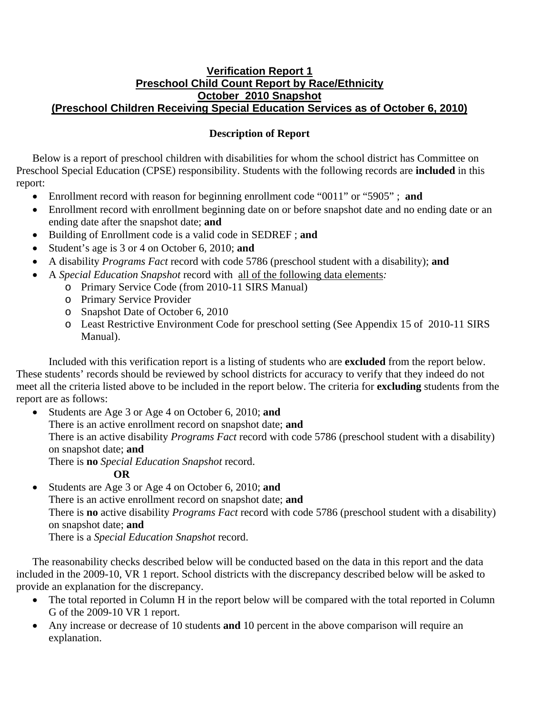## **Verification Report 1 Preschool Child Count Report by Race/Ethnicity October 2010 Snapshot (Preschool Children Receiving Special Education Services as of October 6, 2010)**

## **Description of Report**

Below is a report of preschool children with disabilities for whom the school district has Committee on Preschool Special Education (CPSE) responsibility. Students with the following records are **included** in this report:

- Enrollment record with reason for beginning enrollment code "0011" or "5905" ; **and**
- Enrollment record with enrollment beginning date on or before snapshot date and no ending date or an ending date after the snapshot date; **and**
- Building of Enrollment code is a valid code in SEDREF ; **and**
- Student's age is 3 or 4 on October 6, 2010; **and**
- A disability *Programs Fact* record with code 5786 (preschool student with a disability); **and**
- A *Special Education Snapshot* record with all of the following data elements*:*
	- o Primary Service Code (from 2010-11 SIRS Manual)
	- o Primary Service Provider
	- o Snapshot Date of October 6, 2010
	- o Least Restrictive Environment Code for preschool setting (See Appendix 15 of 2010-11 SIRS Manual).

Included with this verification report is a listing of students who are **excluded** from the report below. These students' records should be reviewed by school districts for accuracy to verify that they indeed do not meet all the criteria listed above to be included in the report below. The criteria for **excluding** students from the report are as follows:

• Students are Age 3 or Age 4 on October 6, 2010; **and** There is an active enrollment record on snapshot date; **and** There is an active disability *Programs Fact* record with code 5786 (preschool student with a disability) on snapshot date; **and** There is **no** *Special Education Snapshot* record.

**OR** 

• Students are Age 3 or Age 4 on October 6, 2010; **and**  There is an active enrollment record on snapshot date; **and**  There is **no** active disability *Programs Fact* record with code 5786 (preschool student with a disability) on snapshot date; **and** There is a *Special Education Snapshot* record.

The reasonability checks described below will be conducted based on the data in this report and the data included in the 2009-10, VR 1 report. School districts with the discrepancy described below will be asked to provide an explanation for the discrepancy.

- The total reported in Column H in the report below will be compared with the total reported in Column G of the 2009-10 VR 1 report.
- Any increase or decrease of 10 students **and** 10 percent in the above comparison will require an explanation.